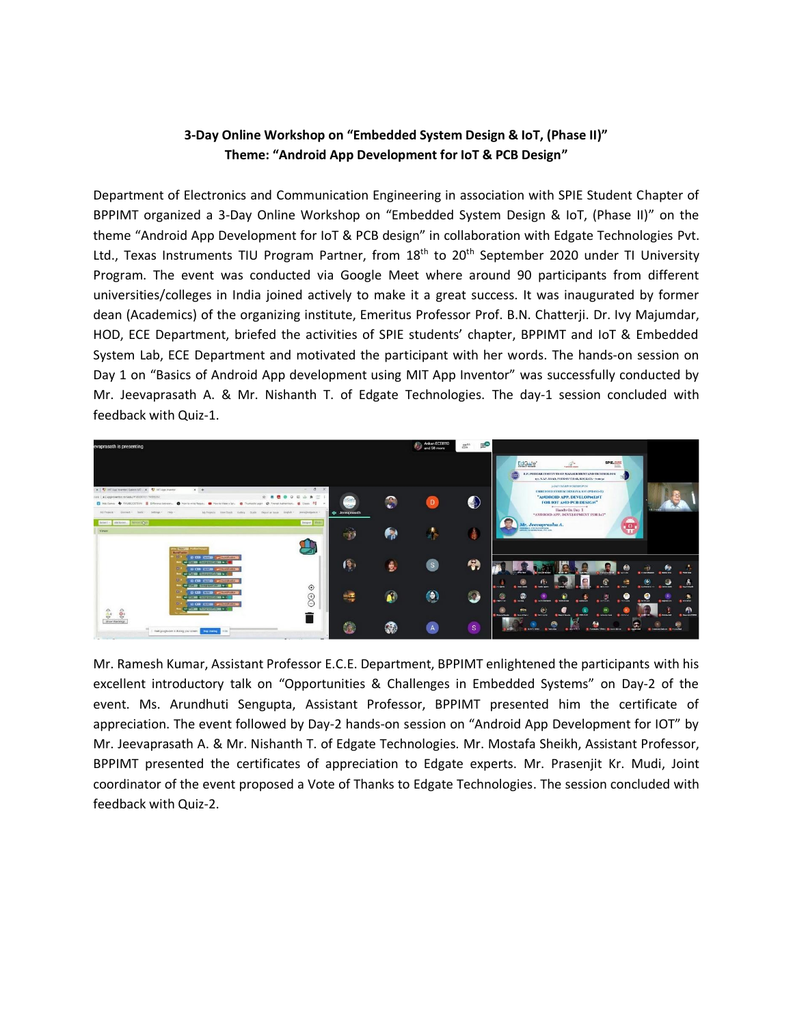## **3-Day Online Workshop on "Embedded System Design & IoT, (Phase II)" Theme: "Android App Development for IoT & PCB Design"**

Department of Electronics and Communication Engineering in association with SPIE Student Chapter of BPPIMT organized a 3-Day Online Workshop on "Embedded System Design & IoT, (Phase II)" on the theme "Android App Development for IoT & PCB design" in collaboration with Edgate Technologies Pvt. Ltd., Texas Instruments TIU Program Partner, from 18<sup>th</sup> to 20<sup>th</sup> September 2020 under TI University Program. The event was conducted via Google Meet where around 90 participants from different universities/colleges in India joined actively to make it a great success. It was inaugurated by former dean (Academics) of the organizing institute, Emeritus Professor Prof. B.N. Chatterji. Dr. Ivy Majumdar, HOD, ECE Department, briefed the activities of SPIE students' chapter, BPPIMT and IoT & Embedded System Lab, ECE Department and motivated the participant with her words. The hands-on session on Day 1 on "Basics of Android App development using MIT App Inventor" was successfully conducted by Mr. Jeevaprasath A. & Mr. Nishanth T. of Edgate Technologies. The day-1 session concluded with feedback with Quiz-1.



Mr. Ramesh Kumar, Assistant Professor E.C.E. Department, BPPIMT enlightened the participants with his excellent introductory talk on "Opportunities & Challenges in Embedded Systems" on Day-2 of the event. Ms. Arundhuti Sengupta, Assistant Professor, BPPIMT presented him the certificate of appreciation. The event followed by Day-2 hands-on session on "Android App Development for IOT" by Mr. Jeevaprasath A. & Mr. Nishanth T. of Edgate Technologies. Mr. Mostafa Sheikh, Assistant Professor, BPPIMT presented the certificates of appreciation to Edgate experts. Mr. Prasenjit Kr. Mudi, Joint coordinator of the event proposed a Vote of Thanks to Edgate Technologies. The session concluded with feedback with Quiz-2.